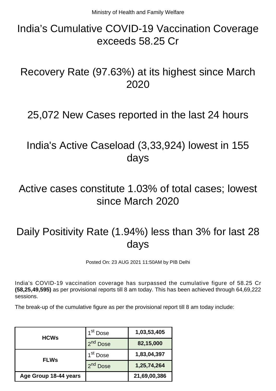## India's Cumulative COVID-19 Vaccination Coverage exceeds 58.25 Cr

### Recovery Rate (97.63%) at its highest since March 2020

#### 25,072 New Cases reported in the last 24 hours

### India's Active Caseload (3,33,924) lowest in 155 days

### Active cases constitute 1.03% of total cases; lowest since March 2020

# Daily Positivity Rate (1.94%) less than 3% for last 28 days

Posted On: 23 AUG 2021 11:50AM by PIB Delhi

India's COVID-19 vaccination coverage has surpassed the cumulative figure of 58.25 Cr **(58,25,49,595)** as per provisional reports till 8 am today. This has been achieved through 64,69,222 sessions.

The break-up of the cumulative figure as per the provisional report till 8 am today include:

| <b>HCWs</b>           | 1 <sup>st</sup> Dose | 1,03,53,405  |
|-----------------------|----------------------|--------------|
|                       | 2 <sup>nd</sup> Dose | 82,15,000    |
| <b>FLWs</b>           | 1 <sup>st</sup> Dose | 1,83,04,397  |
|                       | <b>Dose</b>          | 1,25,74,264  |
| Age Group 18-44 years |                      | 21,69,00,386 |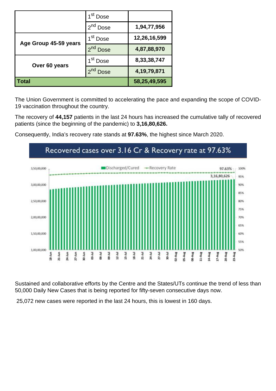|                       | 1 <sup>st</sup> Dose    |                |
|-----------------------|-------------------------|----------------|
|                       | 2 <sup>nd</sup> Dose    | 1,94,77,956    |
| Age Group 45-59 years | 1 <sup>st</sup> Dose    | 12,26,16,599   |
|                       | 2 <sup>nd</sup> Dose    | 4,87,88,970    |
| Over 60 years         | 1 <sup>st</sup> Dose    | 8,33,38,747    |
|                       | $2^{nd}$<br><b>Dose</b> | 4, 19, 79, 871 |
| <b>Total</b>          |                         | 58,25,49,595   |

The Union Government is committed to accelerating the pace and expanding the scope of COVID-19 vaccination throughout the country.

The recovery of **44,157** patients in the last 24 hours has increased the cumulative tally of recovered patients (since the beginning of the pandemic) to **3,16,80,626.**



Consequently, India's recovery rate stands at **97.63%**, the highest since March 2020.

Sustained and collaborative efforts by the Centre and the States/UTs continue the trend of less than 50,000 Daily New Cases that is being reported for fifty-seven consecutive days now.

25,072 new cases were reported in the last 24 hours, this is lowest in 160 days.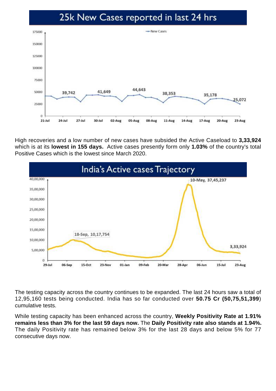#### 25k New Cases reported in last 24 hrs



High recoveries and a low number of new cases have subsided the Active Caseload to **3,33,924** which is at its **lowest in 155 days.** Active cases presently form only **1.03%** of the country's total Positive Cases which is the lowest since March 2020.



The testing capacity across the country continues to be expanded. The last 24 hours saw a total of 12,95,160 tests being conducted. India has so far conducted over **50.75 Cr (50,75,51,399**) cumulative tests.

While testing capacity has been enhanced across the country, **Weekly Positivity Rate at 1.91% remains less than 3% for the last 59 days now.** The **Daily Positivity rate also stands at 1.94%.** The daily Positivity rate has remained below 3% for the last 28 days and below 5% for 77 consecutive days now.